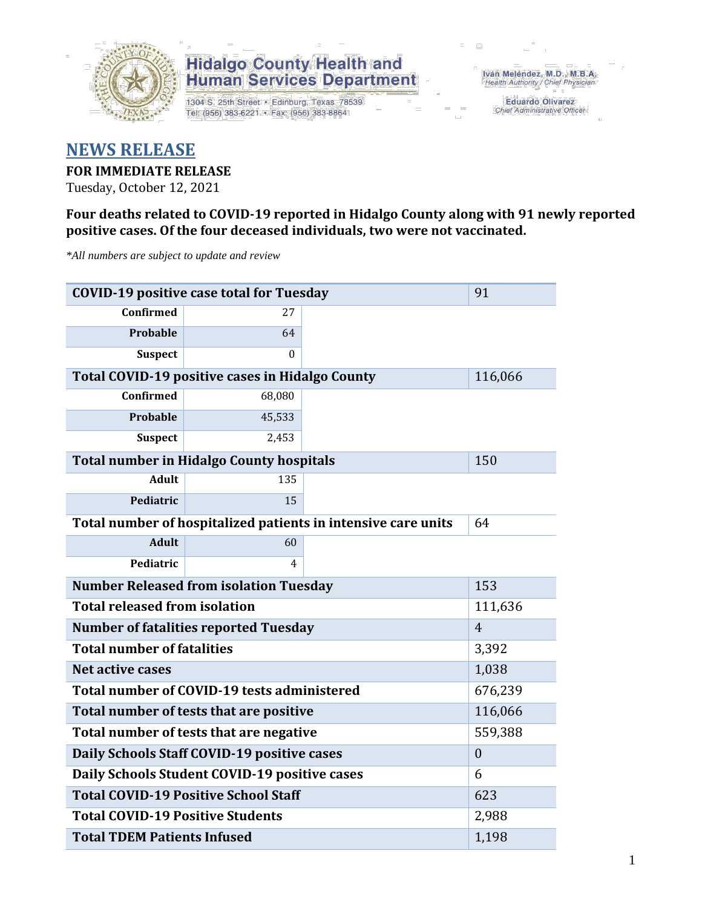

1304 S. 25th Street · Edinburg, Texas 78539 Tel: (956) 383-6221 · Fax: (956) 383-8864

Iván Meléndez, M.D., M.B.A.<br>Health Authority / Chief Physician

Eduardo Olivarez Chief Administrative Officer

### **NEWS RELEASE**

### **FOR IMMEDIATE RELEASE**

Tuesday, October 12, 2021

**Four deaths related to COVID-19 reported in Hidalgo County along with 91 newly reported positive cases. Of the four deceased individuals, two were not vaccinated.**

*\*All numbers are subject to update and review*

| <b>COVID-19 positive case total for Tuesday</b>               | 91                                                     |  |         |
|---------------------------------------------------------------|--------------------------------------------------------|--|---------|
| Confirmed                                                     | 27                                                     |  |         |
| Probable                                                      | 64                                                     |  |         |
| <b>Suspect</b>                                                | $\Omega$                                               |  |         |
|                                                               | <b>Total COVID-19 positive cases in Hidalgo County</b> |  | 116,066 |
| Confirmed                                                     | 68,080                                                 |  |         |
| Probable                                                      | 45,533                                                 |  |         |
| <b>Suspect</b>                                                | 2,453                                                  |  |         |
|                                                               | <b>Total number in Hidalgo County hospitals</b>        |  | 150     |
| <b>Adult</b>                                                  | 135                                                    |  |         |
| Pediatric                                                     | 15                                                     |  |         |
| Total number of hospitalized patients in intensive care units | 64                                                     |  |         |
| <b>Adult</b>                                                  | 60                                                     |  |         |
| Pediatric                                                     | 4                                                      |  |         |
| <b>Number Released from isolation Tuesday</b>                 | 153                                                    |  |         |
| <b>Total released from isolation</b>                          | 111,636                                                |  |         |
| <b>Number of fatalities reported Tuesday</b>                  | $\overline{4}$                                         |  |         |
| <b>Total number of fatalities</b>                             | 3,392                                                  |  |         |
| <b>Net active cases</b>                                       | 1,038                                                  |  |         |
| Total number of COVID-19 tests administered                   | 676,239                                                |  |         |
| Total number of tests that are positive                       | 116,066                                                |  |         |
| Total number of tests that are negative                       | 559,388                                                |  |         |
| Daily Schools Staff COVID-19 positive cases                   | $\boldsymbol{0}$                                       |  |         |
| Daily Schools Student COVID-19 positive cases                 | 6                                                      |  |         |
| <b>Total COVID-19 Positive School Staff</b>                   | 623                                                    |  |         |
| <b>Total COVID-19 Positive Students</b>                       | 2,988                                                  |  |         |
| <b>Total TDEM Patients Infused</b>                            | 1,198                                                  |  |         |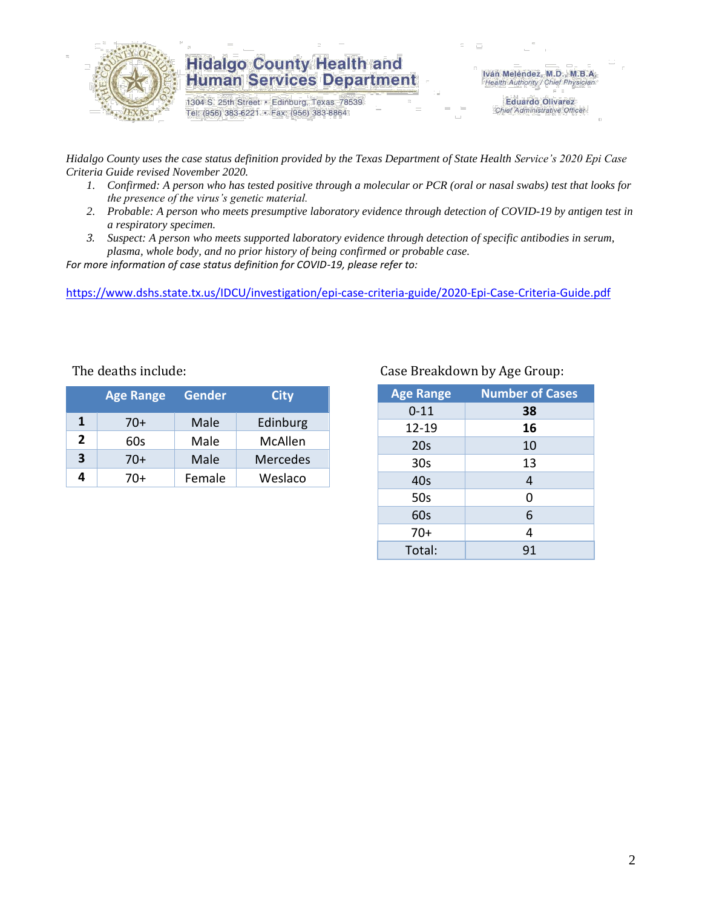

1304 S. 25th Street · Edinburg, Texas 78539 Tel: (956) 383-6221 · Fax: (956) 383-8864

Iván Meléndez, M.D., M.B.A.<br>Health Authority / Chief Physician

**Eduardo Olivarez** Chief Administrative Officer

*Hidalgo County uses the case status definition provided by the Texas Department of State Health Service's 2020 Epi Case Criteria Guide revised November 2020.*

- *1. Confirmed: A person who has tested positive through a molecular or PCR (oral or nasal swabs) test that looks for the presence of the virus's genetic material.*
- *2. Probable: A person who meets presumptive laboratory evidence through detection of COVID-19 by antigen test in a respiratory specimen.*
- *3. Suspect: A person who meets supported laboratory evidence through detection of specific antibodies in serum, plasma, whole body, and no prior history of being confirmed or probable case.*

*For more information of case status definition for COVID-19, please refer to:*

<https://www.dshs.state.tx.us/IDCU/investigation/epi-case-criteria-guide/2020-Epi-Case-Criteria-Guide.pdf>

|                | <b>Age Range</b> | <b>Gender</b> | <b>City</b>     |
|----------------|------------------|---------------|-----------------|
| 1              | $70+$            | Male          | Edinburg        |
| $\overline{2}$ | 60s              | Male          | McAllen         |
| 3              | $70+$            | Male          | <b>Mercedes</b> |
| 4              | 70+              | Female        | Weslaco         |

### The deaths include: The deaths include: Case Breakdown by Age Group:

| <b>Age Range</b> | <b>Number of Cases</b> |
|------------------|------------------------|
| $0 - 11$         | 38                     |
| $12 - 19$        | 16                     |
| 20s              | 10                     |
| 30 <sub>s</sub>  | 13                     |
| 40s              | 4                      |
| 50s              | 0                      |
| 60s              | 6                      |
| $70+$            | 4                      |
| Total:           | 91                     |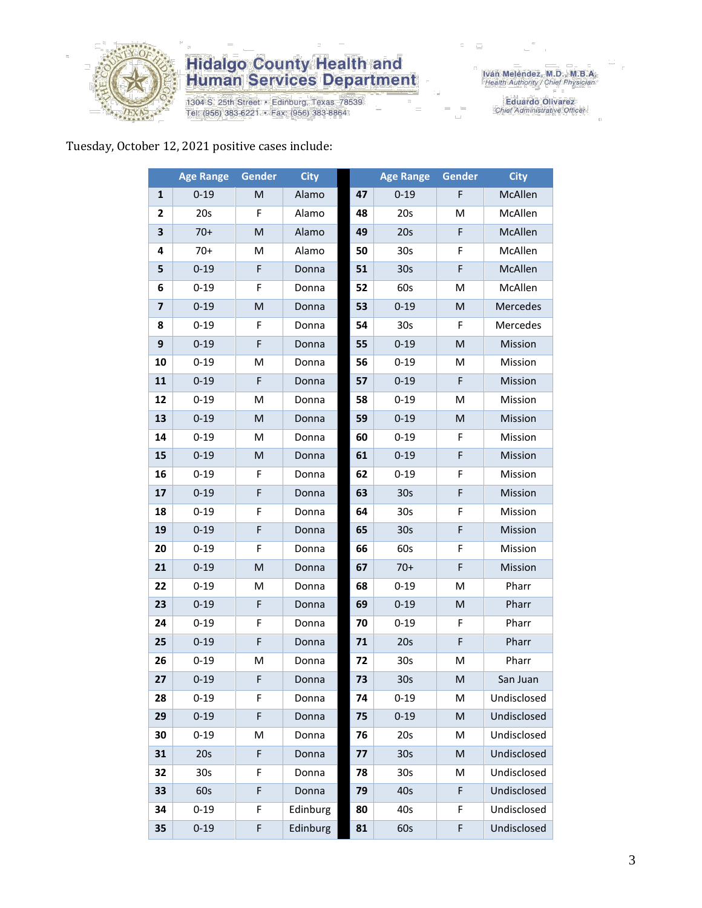

1304 S. 25th Street · Edinburg, Texas 78539 Tel: (956) 383-6221 · Fax: (956) 383-8864

Eduardo Olivarez<br>Chief Administrative Officer

### Tuesday, October 12, 2021 positive cases include:

|                | <b>Age Range</b> | <b>Gender</b> | <b>City</b> |    | <b>Age Range</b> | <b>Gender</b> | <b>City</b> |
|----------------|------------------|---------------|-------------|----|------------------|---------------|-------------|
| $\mathbf{1}$   | $0 - 19$         | м             | Alamo       | 47 | $0 - 19$         | F             | McAllen     |
| 2              | 20s              | F             | Alamo       | 48 | 20s              | M             | McAllen     |
| 3              | $70+$            | M             | Alamo       | 49 | 20s              | F             | McAllen     |
| 4              | $70+$            | M             | Alamo       | 50 | 30 <sub>s</sub>  | F             | McAllen     |
| 5              | $0 - 19$         | F             | Donna       | 51 | 30 <sub>s</sub>  | F             | McAllen     |
| 6              | $0 - 19$         | F             | Donna       | 52 | 60s              | M             | McAllen     |
| $\overline{7}$ | $0 - 19$         | M             | Donna       | 53 | $0 - 19$         | M             | Mercedes    |
| 8              | $0 - 19$         | F             | Donna       | 54 | 30 <sub>s</sub>  | F.            | Mercedes    |
| 9              | $0 - 19$         | F             | Donna       | 55 | $0 - 19$         | M             | Mission     |
| 10             | $0 - 19$         | M             | Donna       | 56 | $0 - 19$         | M             | Mission     |
| 11             | $0 - 19$         | F             | Donna       | 57 | $0 - 19$         | F             | Mission     |
| 12             | $0 - 19$         | M             | Donna       | 58 | $0 - 19$         | M             | Mission     |
| 13             | $0 - 19$         | M             | Donna       | 59 | $0 - 19$         | M             | Mission     |
| 14             | $0 - 19$         | M             | Donna       | 60 | $0 - 19$         | F             | Mission     |
| 15             | $0 - 19$         | M             | Donna       | 61 | $0 - 19$         | F             | Mission     |
| 16             | $0 - 19$         | F             | Donna       | 62 | $0 - 19$         | F             | Mission     |
| 17             | $0 - 19$         | F             | Donna       | 63 | 30 <sub>s</sub>  | F             | Mission     |
| 18             | $0 - 19$         | F             | Donna       | 64 | 30s              | F             | Mission     |
| 19             | $0 - 19$         | F             | Donna       | 65 | 30 <sub>s</sub>  | F             | Mission     |
| 20             | $0 - 19$         | F             | Donna       | 66 | 60s              | F             | Mission     |
| 21             | $0 - 19$         | M             | Donna       | 67 | $70+$            | F             | Mission     |
| 22             | $0 - 19$         | м             | Donna       | 68 | $0 - 19$         | M             | Pharr       |
| 23             | $0 - 19$         | F             | Donna       | 69 | $0 - 19$         | M             | Pharr       |
| 24             | $0 - 19$         | F             | Donna       | 70 | $0 - 19$         | F             | Pharr       |
| 25             | $0 - 19$         | F             | Donna       | 71 | 20s              | F             | Pharr       |
| 26             | $0 - 19$         | M             | Donna       | 72 | 30s              | M             | Pharr       |
| 27             | $0 - 19$         | F             | Donna       | 73 | 30s              | M             | San Juan    |
| 28             | $0 - 19$         | F             | Donna       | 74 | $0 - 19$         | М             | Undisclosed |
| 29             | $0 - 19$         | F             | Donna       | 75 | $0 - 19$         | M             | Undisclosed |
| 30             | $0 - 19$         | M             | Donna       | 76 | 20s              | M             | Undisclosed |
| 31             | 20s              | F             | Donna       | 77 | 30 <sub>s</sub>  | M             | Undisclosed |
| 32             | 30 <sub>s</sub>  | F             | Donna       | 78 | 30s              | M             | Undisclosed |
| 33             | 60s              | F             | Donna       | 79 | 40s              | F             | Undisclosed |
| 34             | $0 - 19$         | F             | Edinburg    | 80 | 40s              | F             | Undisclosed |
| 35             | $0 - 19$         | F             | Edinburg    | 81 | 60s              | F             | Undisclosed |